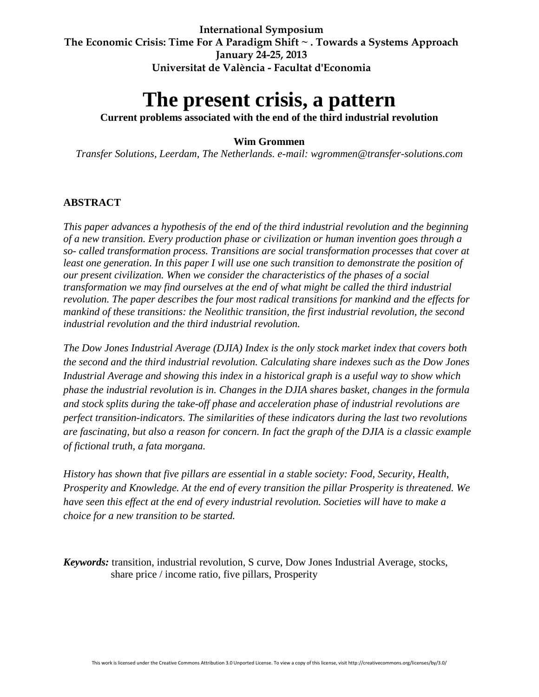**International Symposium The Economic Crisis: Time For A Paradigm Shift ~ . Towards a Systems Approach January 24-25, 2013 Universitat de València - Facultat d'Economia**

# **The present crisis, a pattern**

**Current problems associated with the end of the third industrial revolution**

#### **Wim Grommen**

*Transfer Solutions, Leerdam, The Netherlands. e-mail: wgrommen@transfer-solutions.com*

#### **ABSTRACT**

*This paper advances a hypothesis of the end of the third industrial revolution and the beginning of a new transition. Every production phase or civilization or human invention goes through a so- called transformation process. Transitions are social transformation processes that cover at least one generation. In this paper I will use one such transition to demonstrate the position of our present civilization. When we consider the characteristics of the phases of a social transformation we may find ourselves at the end of what might be called the third industrial revolution. The paper describes the four most radical transitions for mankind and the effects for mankind of these transitions: the Neolithic transition, the first industrial revolution, the second industrial revolution and the third industrial revolution.*

*The Dow Jones Industrial Average (DJIA) Index is the only stock market index that covers both the second and the third industrial revolution. Calculating share indexes such as the Dow Jones Industrial Average and showing this index in a historical graph is a useful way to show which phase the industrial revolution is in. Changes in the DJIA shares basket, changes in the formula and stock splits during the take-off phase and acceleration phase of industrial revolutions are perfect transition-indicators. The similarities of these indicators during the last two revolutions are fascinating, but also a reason for concern. In fact the graph of the DJIA is a classic example of fictional truth, a fata morgana.*

*History has shown that five pillars are essential in a stable society: Food, Security, Health, Prosperity and Knowledge. At the end of every transition the pillar Prosperity is threatened. We have seen this effect at the end of every industrial revolution. Societies will have to make a choice for a new transition to be started.* 

*Keywords:* transition, industrial revolution, S curve, Dow Jones Industrial Average, stocks, share price / income ratio, five pillars, Prosperity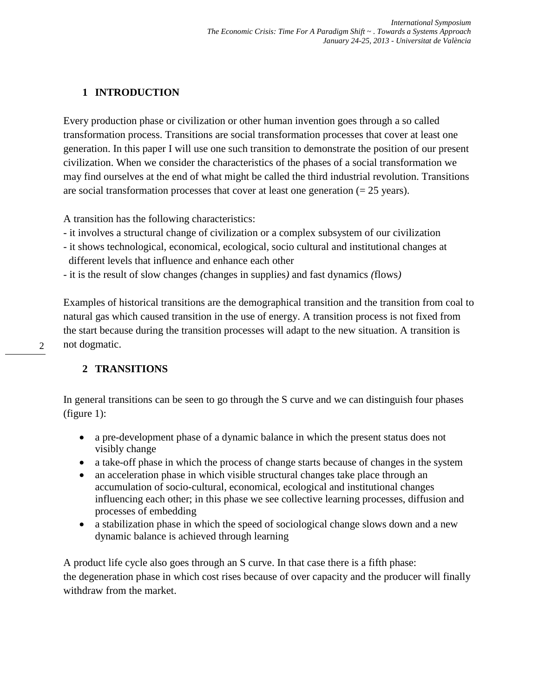# **1 INTRODUCTION**

Every production phase or civilization or other human invention goes through a so called transformation process. Transitions are social transformation processes that cover at least one generation. In this paper I will use one such transition to demonstrate the position of our present civilization. When we consider the characteristics of the phases of a social transformation we may find ourselves at the end of what might be called the third industrial revolution. Transitions are social transformation processes that cover at least one generation  $(= 25 \text{ years})$ .

A transition has the following characteristics:

- it involves a structural change of civilization or a complex subsystem of our civilization
- it shows technological, economical, ecological, socio cultural and institutional changes at different levels that influence and enhance each other
- it is the result of slow changes *(*changes in supplies*)* and fast dynamics *(*flows*)*

Examples of historical transitions are the demographical transition and the transition from coal to natural gas which caused transition in the use of energy. A transition process is not fixed from the start because during the transition processes will adapt to the new situation. A transition is not dogmatic.

## **2 TRANSITIONS**

In general transitions can be seen to go through the S curve and we can distinguish four phases (figure 1):

- a pre-development phase of a dynamic balance in which the present status does not visibly change
- a take-off phase in which the process of change starts because of changes in the system
- an acceleration phase in which visible structural changes take place through an accumulation of socio-cultural, economical, ecological and institutional changes influencing each other; in this phase we see collective learning processes, diffusion and processes of embedding
- a stabilization phase in which the speed of sociological change slows down and a new dynamic balance is achieved through learning

A product life cycle also goes through an S curve. In that case there is a fifth phase: the degeneration phase in which cost rises because of over capacity and the producer will finally withdraw from the market.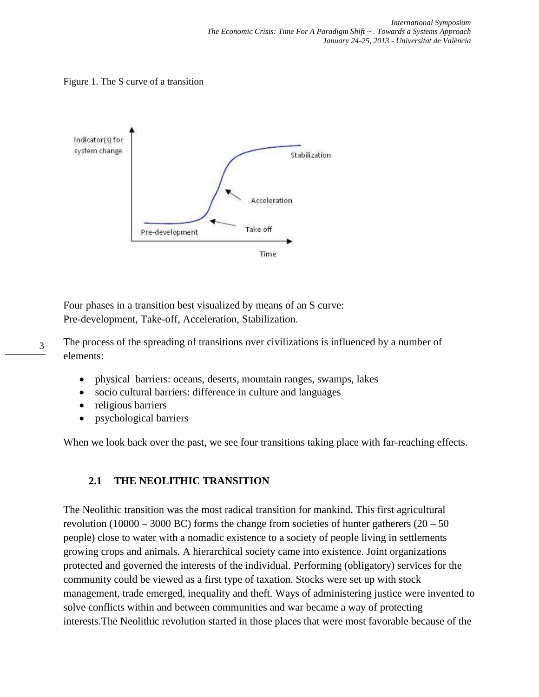Figure 1. The S curve of a transition



Four phases in a transition best visualized by means of an S curve: Pre-development, Take-off, Acceleration, Stabilization.

- 3 The process of the spreading of transitions over civilizations is influenced by a number of elements:
	- physical barriers: oceans, deserts, mountain ranges, swamps, lakes
	- socio cultural barriers: difference in culture and languages
	- religious barriers
	- psychological barriers

When we look back over the past, we see four transitions taking place with far-reaching effects.

#### **2.1 THE NEOLITHIC TRANSITION**

The Neolithic transition was the most radical transition for mankind. This first agricultural revolution (10000 – 3000 BC) forms the change from societies of hunter gatherers ( $20 - 50$ ) people) close to water with a nomadic existence to a society of people living in settlements growing crops and animals. A hierarchical society came into existence. Joint organizations protected and governed the interests of the individual. Performing (obligatory) services for the community could be viewed as a first type of taxation. Stocks were set up with stock management, trade emerged, inequality and theft. Ways of administering justice were invented to solve conflicts within and between communities and war became a way of protecting interests.The Neolithic revolution started in those places that were most favorable because of the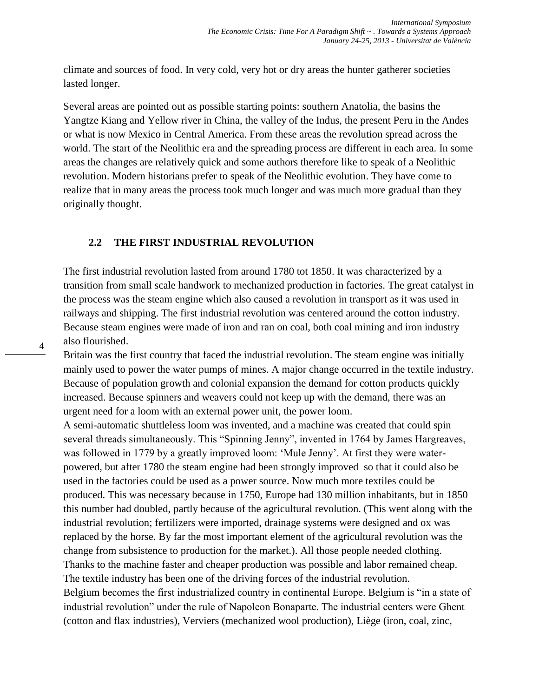climate and sources of food. In very cold, very hot or dry areas the hunter gatherer societies lasted longer.

Several areas are pointed out as possible starting points: southern Anatolia, the basins the Yangtze Kiang and Yellow river in China, the valley of the Indus, the present Peru in the Andes or what is now Mexico in Central America. From these areas the revolution spread across the world. The start of the Neolithic era and the spreading process are different in each area. In some areas the changes are relatively quick and some authors therefore like to speak of a Neolithic revolution. Modern historians prefer to speak of the Neolithic evolution. They have come to realize that in many areas the process took much longer and was much more gradual than they originally thought.

#### **2.2 THE FIRST INDUSTRIAL REVOLUTION**

4

The first industrial revolution lasted from around 1780 tot 1850. It was characterized by a transition from small scale handwork to mechanized production in factories. The great catalyst in the process was the steam engine which also caused a revolution in transport as it was used in railways and shipping. The first industrial revolution was centered around the cotton industry. Because steam engines were made of iron and ran on coal, both coal mining and iron industry also flourished.

Britain was the first country that faced the industrial revolution. The steam engine was initially mainly used to power the water pumps of mines. A major change occurred in the textile industry. Because of population growth and colonial expansion the demand for cotton products quickly increased. Because spinners and weavers could not keep up with the demand, there was an urgent need for a loom with an external power unit, the power loom.

A semi-automatic shuttleless loom was invented, and a machine was created that could spin several threads simultaneously. This "Spinning Jenny", invented in 1764 by James Hargreaves, was followed in 1779 by a greatly improved loom: 'Mule Jenny'. At first they were waterpowered, but after 1780 the steam engine had been strongly improved so that it could also be used in the factories could be used as a power source. Now much more textiles could be produced. This was necessary because in 1750, Europe had 130 million inhabitants, but in 1850 this number had doubled, partly because of the agricultural revolution. (This went along with the industrial revolution; fertilizers were imported, drainage systems were designed and ox was replaced by the horse. By far the most important element of the agricultural revolution was the change from subsistence to production for the market.). All those people needed clothing. Thanks to the machine faster and cheaper production was possible and labor remained cheap. The textile industry has been one of the driving forces of the industrial revolution. Belgium becomes the first industrialized country in continental Europe. Belgium is "in a state of industrial revolution" under the rule of Napoleon Bonaparte. The industrial centers were Ghent (cotton and flax industries), Verviers (mechanized wool production), Liège (iron, coal, zinc,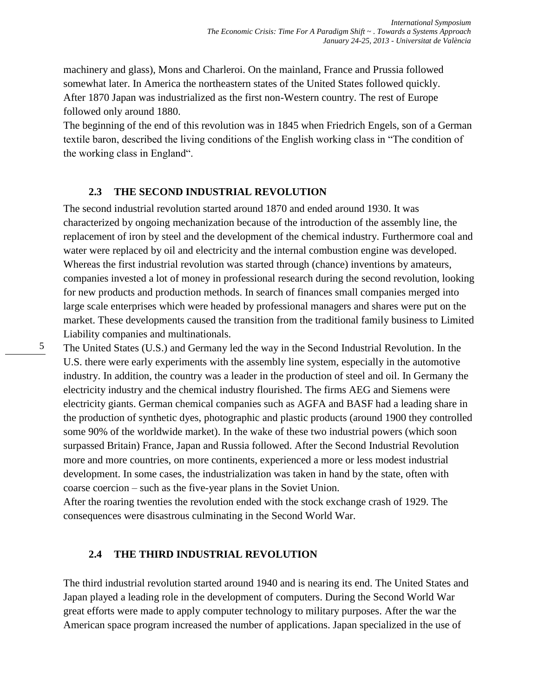machinery and glass), Mons and Charleroi. On the mainland, France and Prussia followed somewhat later. In America the northeastern states of the United States followed quickly. After 1870 Japan was industrialized as the first non-Western country. The rest of Europe followed only around 1880.

The beginning of the end of this revolution was in 1845 when Friedrich Engels, son of a German textile baron, described the living conditions of the English working class in "The condition of the working class in England".

#### **2.3 THE SECOND INDUSTRIAL REVOLUTION**

5

The second industrial revolution started around 1870 and ended around 1930. It was characterized by ongoing mechanization because of the introduction of the assembly line, the replacement of iron by steel and the development of the chemical industry. Furthermore coal and water were replaced by oil and electricity and the internal combustion engine was developed. Whereas the first industrial revolution was started through (chance) inventions by amateurs, companies invested a lot of money in professional research during the second revolution, looking for new products and production methods. In search of finances small companies merged into large scale enterprises which were headed by professional managers and shares were put on the market. These developments caused the transition from the traditional family business to Limited Liability companies and multinationals.

The United States (U.S.) and Germany led the way in the Second Industrial Revolution. In the U.S. there were early experiments with the assembly line system, especially in the automotive industry. In addition, the country was a leader in the production of steel and oil. In Germany the electricity industry and the chemical industry flourished. The firms AEG and Siemens were electricity giants. German chemical companies such as AGFA and BASF had a leading share in the production of synthetic dyes, photographic and plastic products (around 1900 they controlled some 90% of the worldwide market). In the wake of these two industrial powers (which soon surpassed Britain) France, Japan and Russia followed. After the Second Industrial Revolution more and more countries, on more continents, experienced a more or less modest industrial development. In some cases, the industrialization was taken in hand by the state, often with coarse coercion – such as the five-year plans in the Soviet Union.

After the roaring twenties the revolution ended with the stock exchange crash of 1929. The consequences were disastrous culminating in the Second World War.

#### **2.4 THE THIRD INDUSTRIAL REVOLUTION**

The third industrial revolution started around 1940 and is nearing its end. The United States and Japan played a leading role in the development of computers. During the Second World War great efforts were made to apply computer technology to military purposes. After the war the American space program increased the number of applications. Japan specialized in the use of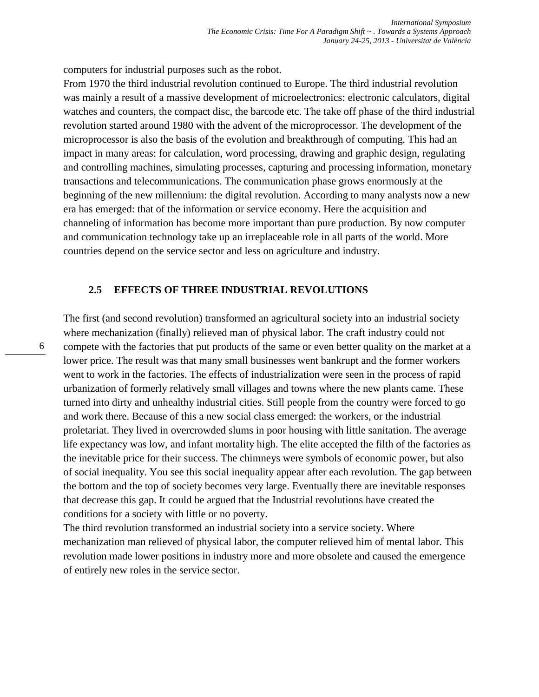computers for industrial purposes such as the robot.

From 1970 the third industrial revolution continued to Europe. The third industrial revolution was mainly a result of a massive development of microelectronics: electronic calculators, digital watches and counters, the compact disc, the barcode etc. The take off phase of the third industrial revolution started around 1980 with the advent of the microprocessor. The development of the microprocessor is also the basis of the evolution and breakthrough of computing. This had an impact in many areas: for calculation, word processing, drawing and graphic design, regulating and controlling machines, simulating processes, capturing and processing information, monetary transactions and telecommunications. The communication phase grows enormously at the beginning of the new millennium: the digital revolution. According to many analysts now a new era has emerged: that of the information or service economy. Here the acquisition and channeling of information has become more important than pure production. By now computer and communication technology take up an irreplaceable role in all parts of the world. More countries depend on the service sector and less on agriculture and industry.

#### **2.5 EFFECTS OF THREE INDUSTRIAL REVOLUTIONS**

The first (and second revolution) transformed an agricultural society into an industrial society where mechanization (finally) relieved man of physical labor. The craft industry could not compete with the factories that put products of the same or even better quality on the market at a lower price. The result was that many small businesses went bankrupt and the former workers went to work in the factories. The effects of industrialization were seen in the process of rapid urbanization of formerly relatively small villages and towns where the new plants came. These turned into dirty and unhealthy industrial cities. Still people from the country were forced to go and work there. Because of this a new social class emerged: the workers, or the industrial proletariat. They lived in overcrowded slums in poor housing with little sanitation. The average life expectancy was low, and infant mortality high. The elite accepted the filth of the factories as the inevitable price for their success. The chimneys were symbols of economic power, but also of social inequality. You see this social inequality appear after each revolution. The gap between the bottom and the top of society becomes very large. Eventually there are inevitable responses that decrease this gap. It could be argued that the Industrial revolutions have created the conditions for a society with little or no poverty.

The third revolution transformed an industrial society into a service society. Where mechanization man relieved of physical labor, the computer relieved him of mental labor. This revolution made lower positions in industry more and more obsolete and caused the emergence of entirely new roles in the service sector.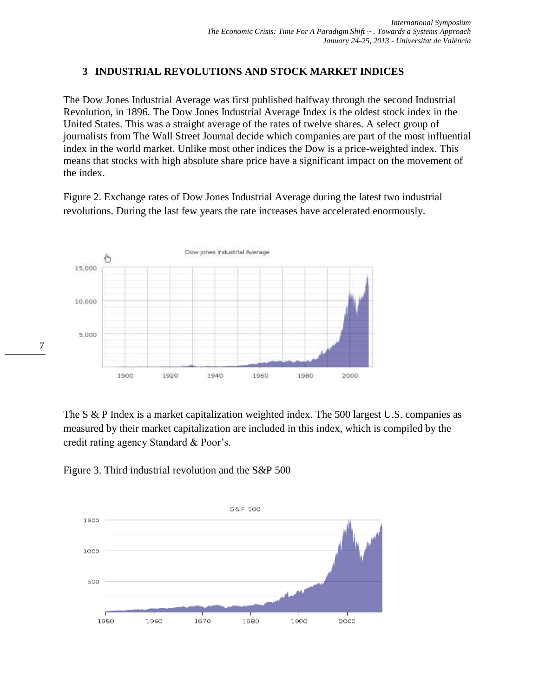## **3 INDUSTRIAL REVOLUTIONS AND STOCK MARKET INDICES**

The Dow Jones Industrial Average was first published halfway through the second Industrial Revolution, in 1896. The Dow Jones Industrial Average Index is the oldest stock index in the United States. This was a straight average of the rates of twelve shares. A select group of journalists from The Wall Street Journal decide which companies are part of the most influential index in the world market. Unlike most other indices the Dow is a price-weighted index. This means that stocks with high absolute share price have a significant impact on the movement of the index.

Figure 2. Exchange rates of Dow Jones Industrial Average during the latest two industrial revolutions. During the last few years the rate increases have accelerated enormously.



The S & P Index is a market capitalization weighted index. The 500 largest U.S. companies as measured by their market capitalization are included in this index, which is compiled by the credit rating agency Standard & Poor's.





7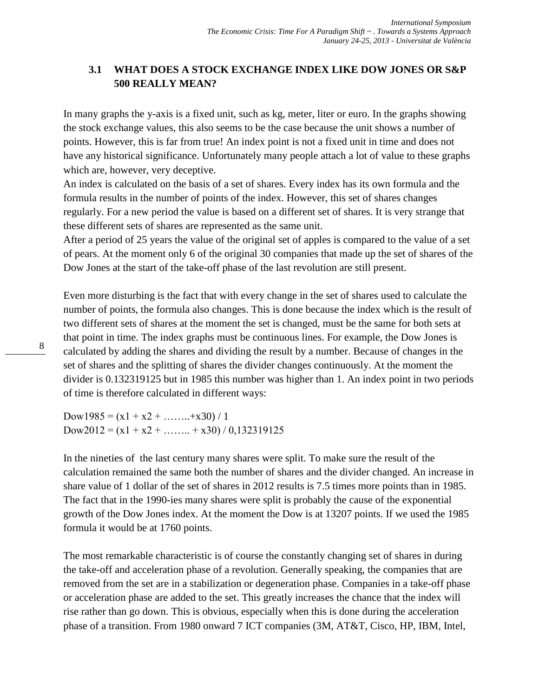## **3.1 WHAT DOES A STOCK EXCHANGE INDEX LIKE DOW JONES OR S&P 500 REALLY MEAN?**

In many graphs the y-axis is a fixed unit, such as kg, meter, liter or euro. In the graphs showing the stock exchange values, this also seems to be the case because the unit shows a number of points. However, this is far from true! An index point is not a fixed unit in time and does not have any historical significance. Unfortunately many people attach a lot of value to these graphs which are, however, very deceptive.

An index is calculated on the basis of a set of shares. Every index has its own formula and the formula results in the number of points of the index. However, this set of shares changes regularly. For a new period the value is based on a different set of shares. It is very strange that these different sets of shares are represented as the same unit.

After a period of 25 years the value of the original set of apples is compared to the value of a set of pears. At the moment only 6 of the original 30 companies that made up the set of shares of the Dow Jones at the start of the take-off phase of the last revolution are still present.

Even more disturbing is the fact that with every change in the set of shares used to calculate the number of points, the formula also changes. This is done because the index which is the result of two different sets of shares at the moment the set is changed, must be the same for both sets at that point in time. The index graphs must be continuous lines. For example, the Dow Jones is calculated by adding the shares and dividing the result by a number. Because of changes in the set of shares and the splitting of shares the divider changes continuously. At the moment the divider is 0.132319125 but in 1985 this number was higher than 1. An index point in two periods of time is therefore calculated in different ways:

Dow1985 =  $(x1 + x2 + ... + x30) / 1$ Dow2012 =  $(x1 + x2 + ... + x30) / 0,132319125$ 

In the nineties of the last century many shares were split. To make sure the result of the calculation remained the same both the number of shares and the divider changed. An increase in share value of 1 dollar of the set of shares in 2012 results is 7.5 times more points than in 1985. The fact that in the 1990-ies many shares were split is probably the cause of the exponential growth of the Dow Jones index. At the moment the Dow is at 13207 points. If we used the 1985 formula it would be at 1760 points.

The most remarkable characteristic is of course the constantly changing set of shares in during the take-off and acceleration phase of a revolution. Generally speaking, the companies that are removed from the set are in a stabilization or degeneration phase. Companies in a take-off phase or acceleration phase are added to the set. This greatly increases the chance that the index will rise rather than go down. This is obvious, especially when this is done during the acceleration phase of a transition. From 1980 onward 7 ICT companies (3M, AT&T, Cisco, HP, IBM, Intel,

8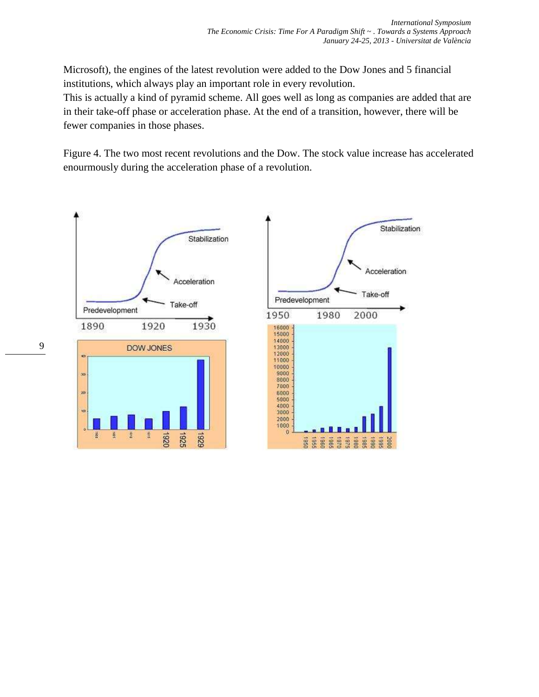Microsoft), the engines of the latest revolution were added to the Dow Jones and 5 financial institutions, which always play an important role in every revolution.

This is actually a kind of pyramid scheme. All goes well as long as companies are added that are in their take-off phase or acceleration phase. At the end of a transition, however, there will be fewer companies in those phases.

Figure 4. The two most recent revolutions and the Dow. The stock value increase has accelerated enourmously during the acceleration phase of a revolution.

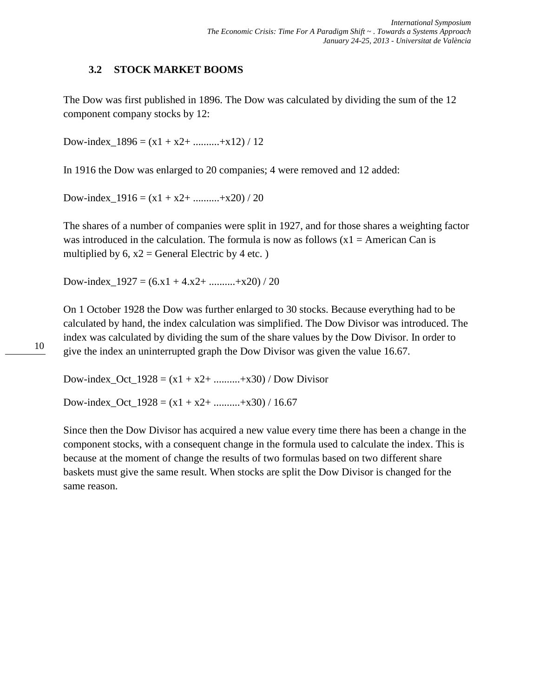## **3.2 STOCK MARKET BOOMS**

The Dow was first published in 1896. The Dow was calculated by dividing the sum of the 12 component company stocks by 12:

Dow-index\_1896 =  $(x1 + x2 +$  .........+x12) / 12

In 1916 the Dow was enlarged to 20 companies; 4 were removed and 12 added:

Dow-index\_1916 =  $(x1 + x2 +$  .........+x20) / 20

The shares of a number of companies were split in 1927, and for those shares a weighting factor was introduced in the calculation. The formula is now as follows  $(x1 = American Can is$ multiplied by  $6, x2 = \text{General Electric by 4 etc.}$ )

Dow-index  $1927 = (6x1 + 4x2 + \dots + x20) / 20$ 

On 1 October 1928 the Dow was further enlarged to 30 stocks. Because everything had to be calculated by hand, the index calculation was simplified. The Dow Divisor was introduced. The index was calculated by dividing the sum of the share values by the Dow Divisor. In order to give the index an uninterrupted graph the Dow Divisor was given the value 16.67.

Dow-index\_Oct\_1928 =  $(x1 + x2 +$  .........+x30) / Dow Divisor

Dow-index\_Oct\_1928 =  $(x1 + x2 +$  .........+x30) / 16.67

Since then the Dow Divisor has acquired a new value every time there has been a change in the component stocks, with a consequent change in the formula used to calculate the index. This is because at the moment of change the results of two formulas based on two different share baskets must give the same result. When stocks are split the Dow Divisor is changed for the same reason.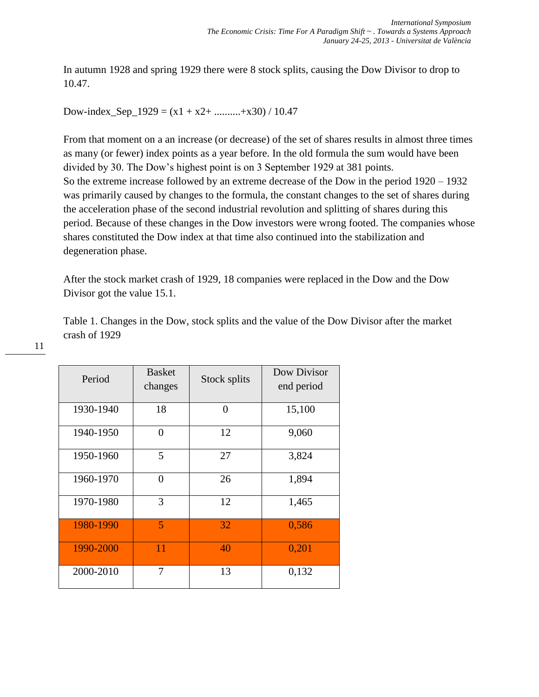In autumn 1928 and spring 1929 there were 8 stock splits, causing the Dow Divisor to drop to 10.47.

Dow-index\_Sep\_1929 =  $(x1 + x2 +$  ..........+x30) / 10.47

From that moment on a an increase (or decrease) of the set of shares results in almost three times as many (or fewer) index points as a year before. In the old formula the sum would have been divided by 30. The Dow's highest point is on 3 September 1929 at 381 points. So the extreme increase followed by an extreme decrease of the Dow in the period 1920 – 1932 was primarily caused by changes to the formula, the constant changes to the set of shares during the acceleration phase of the second industrial revolution and splitting of shares during this period. Because of these changes in the Dow investors were wrong footed. The companies whose shares constituted the Dow index at that time also continued into the stabilization and degeneration phase.

After the stock market crash of 1929, 18 companies were replaced in the Dow and the Dow Divisor got the value 15.1.

Table 1. Changes in the Dow, stock splits and the value of the Dow Divisor after the market crash of 1929

| Period    | <b>Basket</b><br>changes | Stock splits | Dow Divisor<br>end period |
|-----------|--------------------------|--------------|---------------------------|
| 1930-1940 | 18                       | $\theta$     | 15,100                    |
| 1940-1950 | 0                        | 12           | 9,060                     |
| 1950-1960 | 5                        | 27           | 3,824                     |
| 1960-1970 | $\theta$                 | 26           | 1,894                     |
| 1970-1980 | 3                        | 12           | 1,465                     |
| 1980-1990 | $\overline{5}$           | 32           | 0,586                     |
| 1990-2000 | 11                       | 40           | 0,201                     |
| 2000-2010 | 7                        | 13           | 0,132                     |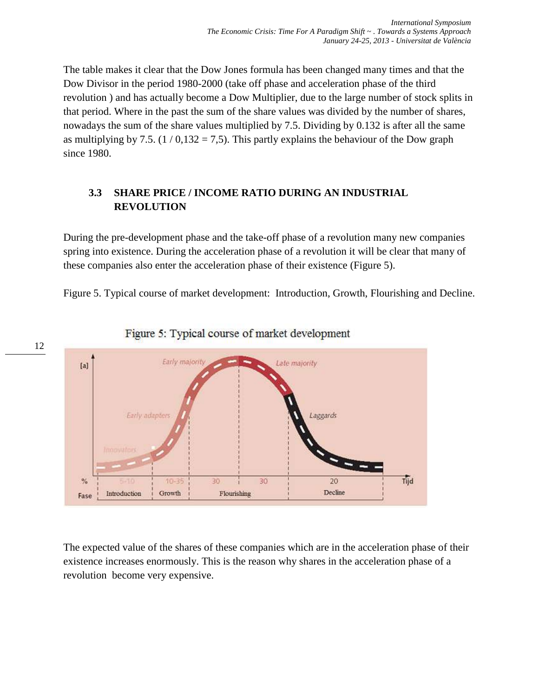The table makes it clear that the Dow Jones formula has been changed many times and that the Dow Divisor in the period 1980-2000 (take off phase and acceleration phase of the third revolution ) and has actually become a Dow Multiplier, due to the large number of stock splits in that period. Where in the past the sum of the share values was divided by the number of shares, nowadays the sum of the share values multiplied by 7.5. Dividing by 0.132 is after all the same as multiplying by 7.5.  $(1/0,132 = 7,5)$ . This partly explains the behaviour of the Dow graph since 1980.

## **3.3 SHARE PRICE / INCOME RATIO DURING AN INDUSTRIAL REVOLUTION**

During the pre-development phase and the take-off phase of a revolution many new companies spring into existence. During the acceleration phase of a revolution it will be clear that many of these companies also enter the acceleration phase of their existence (Figure 5).

Figure 5. Typical course of market development: Introduction, Growth, Flourishing and Decline.



Figure 5: Typical course of market development

The expected value of the shares of these companies which are in the acceleration phase of their existence increases enormously. This is the reason why shares in the acceleration phase of a revolution become very expensive.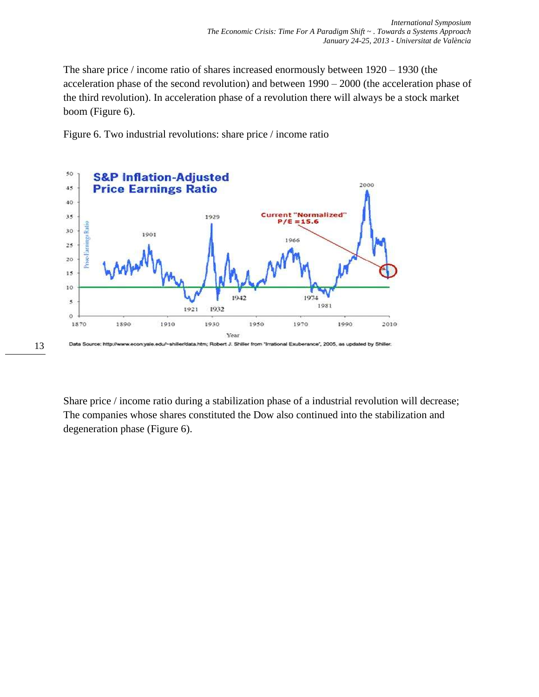The share price / income ratio of shares increased enormously between 1920 – 1930 (the acceleration phase of the second revolution) and between 1990 – 2000 (the acceleration phase of the third revolution). In acceleration phase of a revolution there will always be a stock market boom (Figure 6).

Figure 6. Two industrial revolutions: share price / income ratio



Share price / income ratio during a stabilization phase of a industrial revolution will decrease; The companies whose shares constituted the Dow also continued into the stabilization and degeneration phase (Figure 6).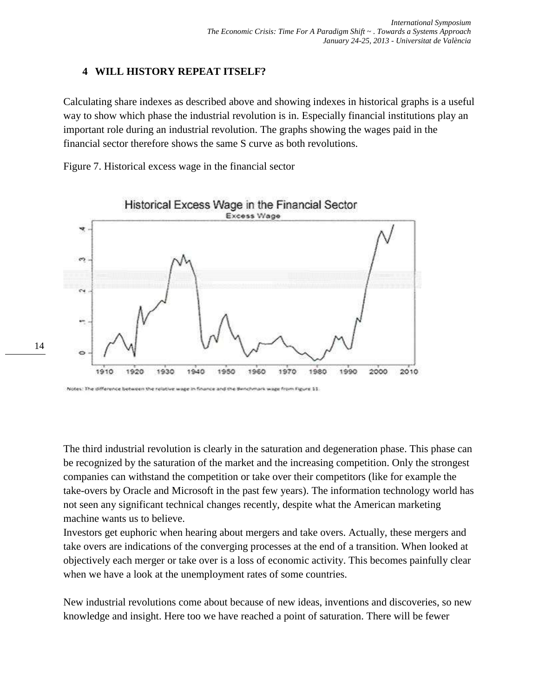### **4 WILL HISTORY REPEAT ITSELF?**

Calculating share indexes as described above and showing indexes in historical graphs is a useful way to show which phase the industrial revolution is in. Especially financial institutions play an important role during an industrial revolution. The graphs showing the wages paid in the financial sector therefore shows the same S curve as both revolutions.

Figure 7. Historical excess wage in the financial sector



Notes: The difference between the relative wage in finance and the Benchmark wage from Figure 11

14

The third industrial revolution is clearly in the saturation and degeneration phase. This phase can be recognized by the saturation of the market and the increasing competition. Only the strongest companies can withstand the competition or take over their competitors (like for example the take-overs by Oracle and Microsoft in the past few years). The information technology world has not seen any significant technical changes recently, despite what the American marketing machine wants us to believe.

Investors get euphoric when hearing about mergers and take overs. Actually, these mergers and take overs are indications of the converging processes at the end of a transition. When looked at objectively each merger or take over is a loss of economic activity. This becomes painfully clear when we have a look at the unemployment rates of some countries.

New industrial revolutions come about because of new ideas, inventions and discoveries, so new knowledge and insight. Here too we have reached a point of saturation. There will be fewer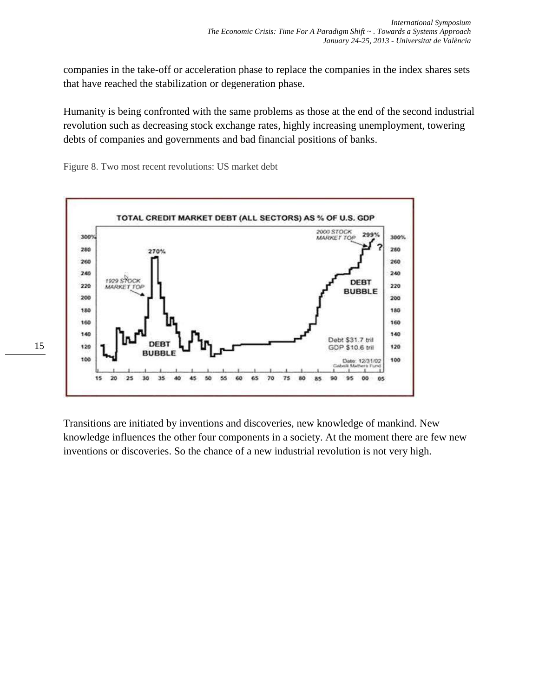companies in the take-off or acceleration phase to replace the companies in the index shares sets that have reached the stabilization or degeneration phase.

Humanity is being confronted with the same problems as those at the end of the second industrial revolution such as decreasing stock exchange rates, highly increasing unemployment, towering debts of companies and governments and bad financial positions of banks.

Figure 8. Two most recent revolutions: US market debt



Transitions are initiated by inventions and discoveries, new knowledge of mankind. New knowledge influences the other four components in a society. At the moment there are few new inventions or discoveries. So the chance of a new industrial revolution is not very high.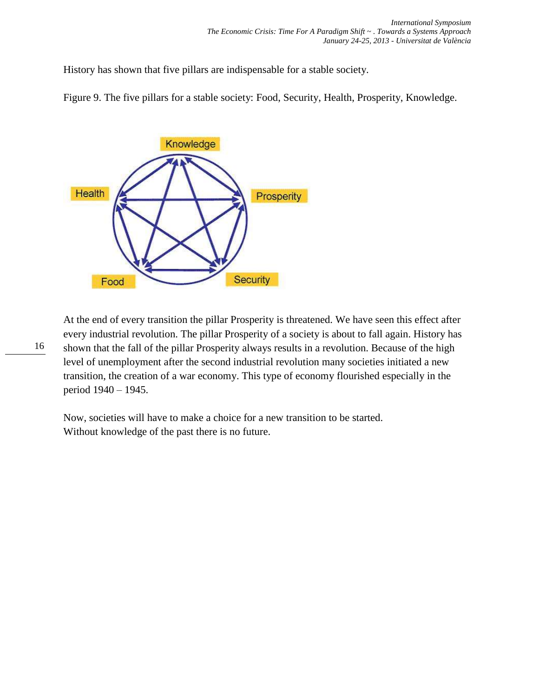History has shown that five pillars are indispensable for a stable society.

Figure 9. The five pillars for a stable society: Food, Security, Health, Prosperity, Knowledge.



At the end of every transition the pillar Prosperity is threatened. We have seen this effect after every industrial revolution. The pillar Prosperity of a society is about to fall again. History has shown that the fall of the pillar Prosperity always results in a revolution. Because of the high level of unemployment after the second industrial revolution many societies initiated a new transition, the creation of a war economy. This type of economy flourished especially in the period 1940 – 1945.

Now, societies will have to make a choice for a new transition to be started. Without knowledge of the past there is no future.